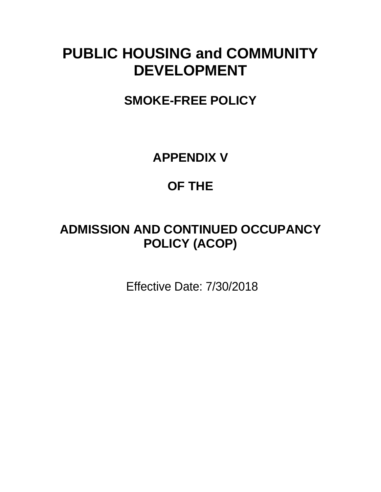# **PUBLIC HOUSING and COMMUNITY DEVELOPMENT**

**SMOKE-FREE POLICY**

**APPENDIX V**

## **OF THE**

# **ADMISSION AND CONTINUED OCCUPANCY POLICY (ACOP)**

Effective Date: 7/30/2018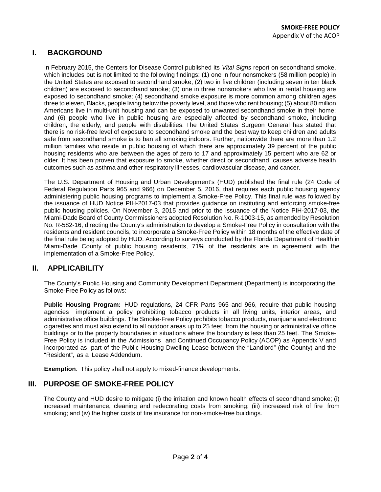### **I. BACKGROUND**

In February 2015, the Centers for Disease Control published its *Vital Signs* report on secondhand smoke, which includes but is not limited to the following findings: (1) one in four nonsmokers (58 million people) in the United States are exposed to secondhand smoke; (2) two in five children (including seven in ten black children) are exposed to secondhand smoke; (3) one in three nonsmokers who live in rental housing are exposed to secondhand smoke; (4) secondhand smoke exposure is more common among children ages three to eleven, Blacks, people living below the poverty level, and those who rent housing; (5) about 80 million Americans live in multi-unit housing and can be exposed to unwanted secondhand smoke in their home; and (6) people who live in public housing are especially affected by secondhand smoke, including children, the elderly, and people with disabilities. The United States Surgeon General has stated that there is no risk-free level of exposure to secondhand smoke and the best way to keep children and adults safe from secondhand smoke is to ban all smoking indoors. Further, nationwide there are more than 1.2 million families who reside in public housing of which there are approximately 39 percent of the public housing residents who are between the ages of zero to 17 and approximately 15 percent who are 62 or older. It has been proven that exposure to smoke, whether direct or secondhand, causes adverse health outcomes such as asthma and other respiratory illnesses, cardiovascular disease, and cancer.

The U.S. Department of Housing and Urban Development's (HUD) published the final rule (24 Code of Federal Regulation Parts 965 and 966) on December 5, 2016, that requires each public housing agency administering public housing programs to implement a Smoke-Free Policy. This final rule was followed by the issuance of HUD Notice PIH-2017-03 that provides guidance on instituting and enforcing smoke-free public housing policies. On November 3, 2015 and prior to the issuance of the Notice PIH-2017-03, the Miami-Dade Board of County Commissioners adopted Resolution No. R-1003-15, as amended by Resolution No. R-582-16, directing the County's administration to develop a Smoke-Free Policy in consultation with the residents and resident councils, to incorporate a Smoke-Free Policy within 18 months of the effective date of the final rule being adopted by HUD. According to surveys conducted by the Florida Department of Health in Miami-Dade County of public housing residents, 71% of the residents are in agreement with the implementation of a Smoke-Free Policy.

### **II. APPLICABILITY**

The County's Public Housing and Community Development Department (Department) is incorporating the Smoke-Free Policy as follows:

**Public Housing Program:** HUD regulations, 24 CFR Parts 965 and 966, require that public housing agencies implement a policy prohibiting tobacco products in all living units, interior areas, and administrative office buildings. The Smoke-Free Policy prohibits tobacco products, marijuana and electronic cigarettes and must also extend to all outdoor areas up to 25 feet from the housing or administrative office buildings or to the property boundaries in situations where the boundary is less than 25 feet. The Smoke-Free Policy is included in the Admissions and Continued Occupancy Policy (ACOP) as Appendix V and incorporated as part of the Public Housing Dwelling Lease between the "Landlord" (the County) and the "Resident", as a Lease Addendum.

**Exemption**: This policy shall not apply to mixed-finance developments.

#### **III. PURPOSE OF SMOKE-FREE POLICY**

The County and HUD desire to mitigate (i) the irritation and known health effects of secondhand smoke; (i) increased maintenance, cleaning and redecorating costs from smoking; (iii) increased risk of fire from smoking; and (iv) the higher costs of fire insurance for non-smoke-free buildings.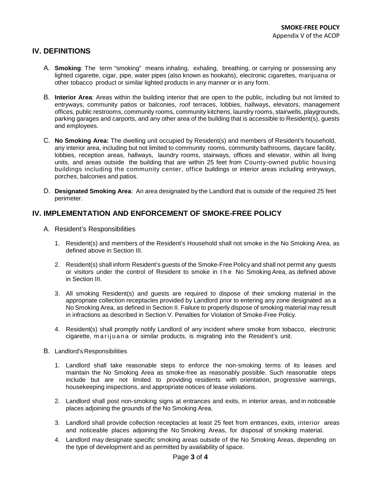#### **IV. DEFINITIONS**

- A. **Smoking**: The term "smoking" means inhaling, exhaling, breathing, or carrying or possessing any lighted cigarette, cigar, pipe, water pipes (also known as hookahs), electronic cigarettes, marijuana or other tobacco product or similar lighted products in any manner or in any form.
- B. **Interior Area**: Areas within the building interior that are open to the public, including but not limited to entryways, community patios or balconies, roof terraces, lobbies, hallways, elevators, management offices, public restrooms, community rooms, community kitchens, laundry rooms, stairwells, playgrounds, parking garages and carports, and any other area of the building that is accessible to Resident(s), guests and employees.
- C. **No Smoking Area:** The dwelling unit occupied by Resident(s) and members of Resident's household, any interior area, including but not limited to community rooms, community bathrooms, daycare facility, lobbies, reception areas, hallways, laundry rooms, stairways, offices and elevator, within all living units, and areas outside the building that are within 25 feet from County-owned public housing buildings including the community center, office buildings or interior areas including entryways, porches, balconies and patios.
- D. **Designated Smoking Area**: An area designated by the Landlord that is outside of the required 25 feet perimeter.

#### **IV. IMPLEMENTATION AND ENFORCEMENT OF SMOKE-FREE POLICY**

- A. Resident's Responsibilities
	- 1. Resident(s) and members of the Resident's Household shall not smoke in the No Smoking Area, as defined above in Section III.
	- 2. Resident(s) shall inform Resident's guests of the Smoke-Free Policy and shall not permit any guests or visitors under the control of Resident to smoke in the No Smoking Area, as defined above in Section III.
	- 3. All smoking Resident(s) and guests are required to dispose of their smoking material in the appropriate collection receptacles provided by Landlord prior to entering any zone designated as a No Smoking Area, as defined in Section II. Failure to properly dispose of smoking material may result in infractions as described in Section V. Penalties for Violation of Smoke-Free Policy.
	- 4. Resident(s) shall promptly notify Landlord of any incident where smoke from tobacco, electronic cigarette, marijuana or similar products, is migrating into the Resident's unit.
- B. Landlord's Responsibilities
	- 1. Landlord shall take reasonable steps to enforce the non-smoking terms of its leases and maintain the No Smoking Area as smoke-free as reasonably possible. Such reasonable steps include but are not limited to providing residents with orientation, progressive warnings, housekeeping inspections, and appropriate notices of lease violations.
	- 2. Landlord shall post non-smoking signs at entrances and exits, in interior areas, and in noticeable places adjoining the grounds of the No Smoking Area.
	- 3. Landlord shall provide collection receptacles at least 25 feet from entrances, exits, interior areas and noticeable places adjoining the No Smoking Areas, for disposal of smoking material.
	- 4. Landlord may designate specific smoking areas outside of the No Smoking Areas, depending on the type of development and as permitted by availability of space.